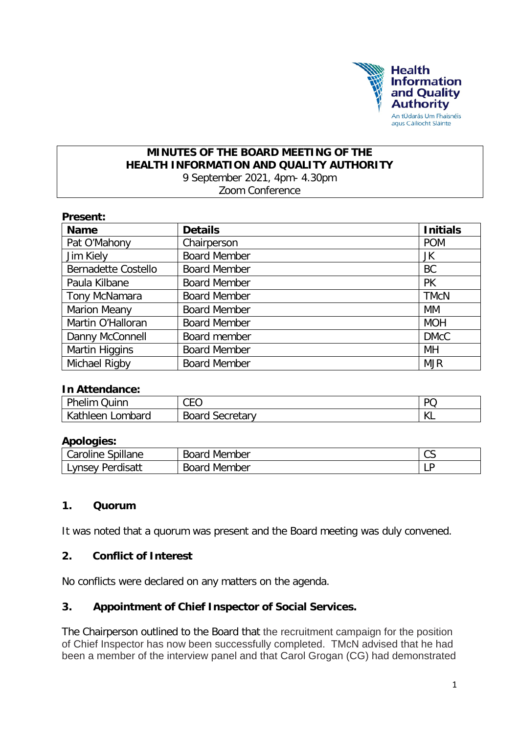

## **MINUTES OF THE BOARD MEETING OF THE HEALTH INFORMATION AND QUALITY AUTHORITY** 9 September 2021, 4pm- 4.30pm

Zoom Conference

|  | <b>Present:</b> |  |  |
|--|-----------------|--|--|
|  |                 |  |  |

| <b>Name</b>                | <b>Details</b>      | <b>Initials</b> |
|----------------------------|---------------------|-----------------|
| Pat O'Mahony               | Chairperson         | <b>POM</b>      |
| Jim Kiely                  | <b>Board Member</b> | JK              |
| <b>Bernadette Costello</b> | <b>Board Member</b> | <b>BC</b>       |
| Paula Kilbane              | <b>Board Member</b> | <b>PK</b>       |
| Tony McNamara              | <b>Board Member</b> | <b>TMcN</b>     |
| Marion Meany               | <b>Board Member</b> | МM              |
| Martin O'Halloran          | <b>Board Member</b> | <b>MOH</b>      |
| Danny McConnell            | Board member        | <b>DMcC</b>     |
| Martin Higgins             | <b>Board Member</b> | MН              |
| Michael Rigby              | <b>Board Member</b> | <b>MJR</b>      |

#### **In Attendance:**

| Dh.<br>uinr<br>$n$ elim                   | $\cap$<br>UE'<br>ັບ       | DC                    |
|-------------------------------------------|---------------------------|-----------------------|
| $\mathcal{L}$<br><b>athleer</b><br>ombard | secretarv<br><b>Boarc</b> | $\mathcal{U}$<br>17 L |

#### **Apologies:**

| .<br>`pillane<br>Caroline | $D_{OQFA}$<br>. Member<br>ਸ਼ਰਮ<br>יח | $\sim$<br>ັບ |
|---------------------------|--------------------------------------|--------------|
| " Pordicatt               | Board                                | D            |
| .vnsev                    | Member                               | . .          |

#### **1. Quorum**

It was noted that a quorum was present and the Board meeting was duly convened.

#### **2. Conflict of Interest**

No conflicts were declared on any matters on the agenda.

#### **3. Appointment of Chief Inspector of Social Services.**

The Chairperson outlined to the Board that the recruitment campaign for the position of Chief Inspector has now been successfully completed. TMcN advised that he had been a member of the interview panel and that Carol Grogan (CG) had demonstrated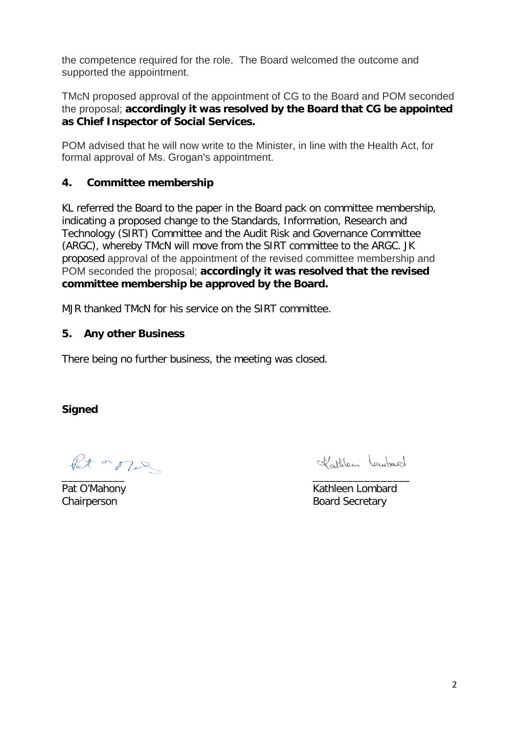the competence required for the role. The Board welcomed the outcome and supported the appointment.

TMcN proposed approval of the appointment of CG to the Board and POM seconded the proposal; **accordingly it was resolved by the Board that CG be appointed as Chief Inspector of Social Services.**

POM advised that he will now write to the Minister, in line with the Health Act, for formal approval of Ms. Grogan's appointment.

#### **4. Committee membership**

KL referred the Board to the paper in the Board pack on committee membership, indicating a proposed change to the Standards, Information, Research and Technology (SIRT) Committee and the Audit Risk and Governance Committee (ARGC), whereby TMcN will move from the SIRT committee to the ARGC. JK proposed approval of the appointment of the revised committee membership and POM seconded the proposal; **accordingly it was resolved that the revised committee membership be approved by the Board.**

MJR thanked TMcN for his service on the SIRT committee.

### **5. Any other Business**

There being no further business, the meeting was closed.

**Signed**

Pat or our

Kathlen Loubard

\_\_\_\_\_\_\_\_\_\_\_ \_\_\_\_\_\_\_\_\_\_\_\_\_\_\_\_\_ Pat O'Mahony **Kathleen Lombard** Chairperson **Board Secretary**